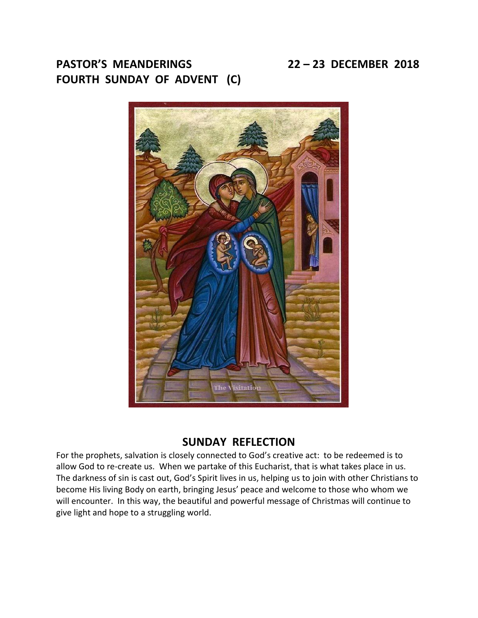# **PASTOR'S MEANDERINGS 22 – 23 DECEMBER 2018 FOURTH SUNDAY OF ADVENT (C)**



# **SUNDAY REFLECTION**

For the prophets, salvation is closely connected to God's creative act: to be redeemed is to allow God to re-create us. When we partake of this Eucharist, that is what takes place in us. The darkness of sin is cast out, God's Spirit lives in us, helping us to join with other Christians to become His living Body on earth, bringing Jesus' peace and welcome to those who whom we will encounter. In this way, the beautiful and powerful message of Christmas will continue to give light and hope to a struggling world.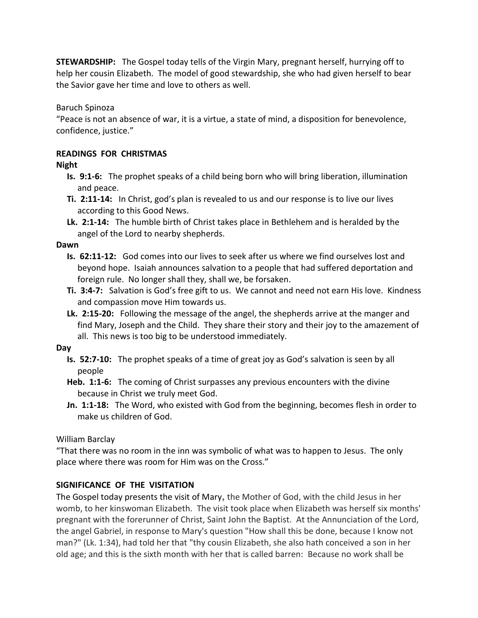**STEWARDSHIP:** The Gospel today tells of the Virgin Mary, pregnant herself, hurrying off to help her cousin Elizabeth. The model of good stewardship, she who had given herself to bear the Savior gave her time and love to others as well.

Baruch Spinoza

"Peace is not an absence of war, it is a virtue, a state of mind, a disposition for benevolence, confidence, justice."

#### **READINGS FOR CHRISTMAS**

**Night**

- **Is. 9:1-6:** The prophet speaks of a child being born who will bring liberation, illumination and peace.
- **Ti. 2:11-14:** In Christ, god's plan is revealed to us and our response is to live our lives according to this Good News.
- **Lk. 2:1-14:** The humble birth of Christ takes place in Bethlehem and is heralded by the angel of the Lord to nearby shepherds.

#### **Dawn**

- **Is. 62:11-12:** God comes into our lives to seek after us where we find ourselves lost and beyond hope. Isaiah announces salvation to a people that had suffered deportation and foreign rule. No longer shall they, shall we, be forsaken.
- **Ti. 3:4-7:** Salvation is God's free gift to us. We cannot and need not earn His love. Kindness and compassion move Him towards us.
- **Lk. 2:15-20:** Following the message of the angel, the shepherds arrive at the manger and find Mary, Joseph and the Child. They share their story and their joy to the amazement of all. This news is too big to be understood immediately.

#### **Day**

- **Is. 52:7-10:** The prophet speaks of a time of great joy as God's salvation is seen by all people
- **Heb. 1:1-6:** The coming of Christ surpasses any previous encounters with the divine because in Christ we truly meet God.
- **Jn. 1:1-18:** The Word, who existed with God from the beginning, becomes flesh in order to make us children of God.

# William Barclay

"That there was no room in the inn was symbolic of what was to happen to Jesus. The only place where there was room for Him was on the Cross."

# **SIGNIFICANCE OF THE VISITATION**

The Gospel today presents the visit of Mary, the Mother of God, with the child Jesus in her womb, to her kinswoman Elizabeth. The visit took place when Elizabeth was herself six months' pregnant with the forerunner of Christ, Saint John the Baptist. At the Annunciation of the Lord, the angel Gabriel, in response to Mary's question "How shall this be done, because I know not man?" (Lk. 1:34), had told her that "thy cousin Elizabeth, she also hath conceived a son in her old age; and this is the sixth month with her that is called barren: Because no work shall be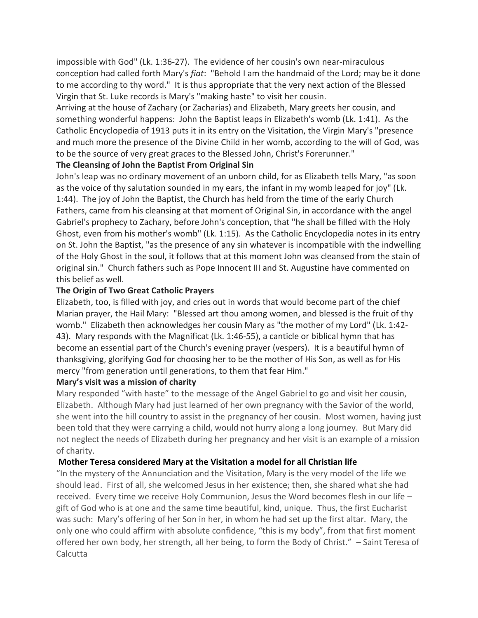impossible with God" (Lk. 1:36-27). The evidence of her cousin's own near-miraculous conception had called forth Mary's *fiat*: "Behold I am the handmaid of the Lord; may be it done to me according to thy word." It is thus appropriate that the very next action of the Blessed Virgin that St. Luke records is Mary's "making haste" to visit her cousin.

Arriving at the house of Zachary (or Zacharias) and Elizabeth, Mary greets her cousin, and something wonderful happens: John the Baptist leaps in Elizabeth's womb (Lk. 1:41). As the Catholic Encyclopedia of 1913 puts it in its entry on the Visitation, the Virgin Mary's "presence and much more the presence of the Divine Child in her womb, according to the will of God, was to be the source of very great graces to the Blessed John, Christ's Forerunner."

# **The Cleansing of John the Baptist From Original Sin**

John's leap was no ordinary movement of an unborn child, for as Elizabeth tells Mary, "as soon as the voice of thy salutation sounded in my ears, the infant in my womb leaped for joy" (Lk. 1:44). The joy of John the Baptist, the Church has held from the time of the early Church Fathers, came from his cleansing at that moment of Original Sin, in accordance with the angel Gabriel's prophecy to Zachary, before John's conception, that "he shall be filled with the Holy Ghost, even from his mother's womb" (Lk. 1:15). As the Catholic Encyclopedia notes in its entry on St. John the Baptist, "as the presence of any sin whatever is incompatible with the indwelling of the Holy Ghost in the soul, it follows that at this moment John was cleansed from the stain of original sin." Church fathers such as Pope Innocent III and St. Augustine have commented on this belief as well.

# **The Origin of Two Great Catholic Prayers**

Elizabeth, too, is filled with joy, and cries out in words that would become part of the chief Marian prayer, the Hail Mary: "Blessed art thou among women, and blessed is the fruit of thy womb." Elizabeth then acknowledges her cousin Mary as "the mother of my Lord" (Lk. 1:42- 43). Mary responds with the Magnificat (Lk. 1:46-55), a canticle or biblical hymn that has become an essential part of the Church's evening prayer (vespers). It is a beautiful hymn of thanksgiving, glorifying God for choosing her to be the mother of His Son, as well as for His mercy "from generation until generations, to them that fear Him."

# **Mary's visit was a mission of charity**

Mary responded "with haste" to the message of the Angel Gabriel to go and visit her cousin, Elizabeth. Although Mary had just learned of her own pregnancy with the Savior of the world, she went into the hill country to assist in the pregnancy of her cousin. Most women, having just been told that they were carrying a child, would not hurry along a long journey. But Mary did not neglect the needs of Elizabeth during her pregnancy and her visit is an example of a mission of charity.

# **Mother Teresa considered Mary at the Visitation a model for all Christian life**

"In the mystery of the Annunciation and the Visitation, Mary is the very model of the life we should lead. First of all, she welcomed Jesus in her existence; then, she shared what she had received. Every time we receive Holy Communion, Jesus the Word becomes flesh in our life – gift of God who is at one and the same time beautiful, kind, unique. Thus, the first Eucharist was such: Mary's offering of her Son in her, in whom he had set up the first altar. Mary, the only one who could affirm with absolute confidence, "this is my body", from that first moment offered her own body, her strength, all her being, to form the Body of Christ." – Saint Teresa of Calcutta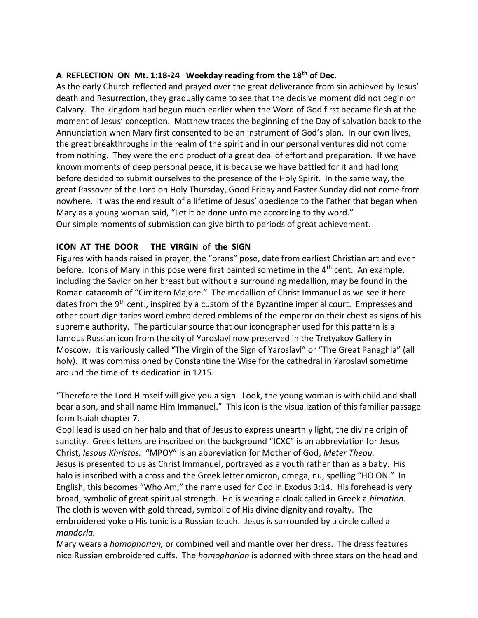# **A REFLECTION ON Mt. 1:18-24 Weekday reading from the 18th of Dec.**

As the early Church reflected and prayed over the great deliverance from sin achieved by Jesus' death and Resurrection, they gradually came to see that the decisive moment did not begin on Calvary. The kingdom had begun much earlier when the Word of God first became flesh at the moment of Jesus' conception. Matthew traces the beginning of the Day of salvation back to the Annunciation when Mary first consented to be an instrument of God's plan. In our own lives, the great breakthroughs in the realm of the spirit and in our personal ventures did not come from nothing. They were the end product of a great deal of effort and preparation. If we have known moments of deep personal peace, it is because we have battled for it and had long before decided to submit ourselves to the presence of the Holy Spirit. In the same way, the great Passover of the Lord on Holy Thursday, Good Friday and Easter Sunday did not come from nowhere. It was the end result of a lifetime of Jesus' obedience to the Father that began when Mary as a young woman said, "Let it be done unto me according to thy word." Our simple moments of submission can give birth to periods of great achievement.

# **ICON AT THE DOOR THE VIRGIN of the SIGN**

Figures with hands raised in prayer, the "orans" pose, date from earliest Christian art and even before. Icons of Mary in this pose were first painted sometime in the 4<sup>th</sup> cent. An example, including the Savior on her breast but without a surrounding medallion, may be found in the Roman catacomb of "Cimitero Majore." The medallion of Christ Immanuel as we see it here dates from the 9<sup>th</sup> cent., inspired by a custom of the Byzantine imperial court. Empresses and other court dignitaries word embroidered emblems of the emperor on their chest as signs of his supreme authority. The particular source that our iconographer used for this pattern is a famous Russian icon from the city of Yaroslavl now preserved in the Tretyakov Gallery in Moscow. It is variously called "The Virgin of the Sign of Yaroslavl" or "The Great Panaghia" (all holy). It was commissioned by Constantine the Wise for the cathedral in Yaroslavl sometime around the time of its dedication in 1215.

"Therefore the Lord Himself will give you a sign. Look, the young woman is with child and shall bear a son, and shall name Him Immanuel." This icon is the visualization of this familiar passage form Isaiah chapter 7.

Gool lead is used on her halo and that of Jesus to express unearthly light, the divine origin of sanctity. Greek letters are inscribed on the background "ICXC" is an abbreviation for Jesus Christ, *Iesous Khristos.* "MPOY" is an abbreviation for Mother of God, *Meter Theou.* Jesus is presented to us as Christ Immanuel, portrayed as a youth rather than as a baby. His halo is inscribed with a cross and the Greek letter omicron, omega, nu, spelling "HO ON." In English, this becomes "Who Am," the name used for God in Exodus 3:14. His forehead is very broad, symbolic of great spiritual strength. He is wearing a cloak called in Greek a *himation.* The cloth is woven with gold thread, symbolic of His divine dignity and royalty. The embroidered yoke o His tunic is a Russian touch. Jesus is surrounded by a circle called a *mandorla.*

Mary wears a *homophorion,* or combined veil and mantle over her dress. The dress features nice Russian embroidered cuffs. The *homophorion* is adorned with three stars on the head and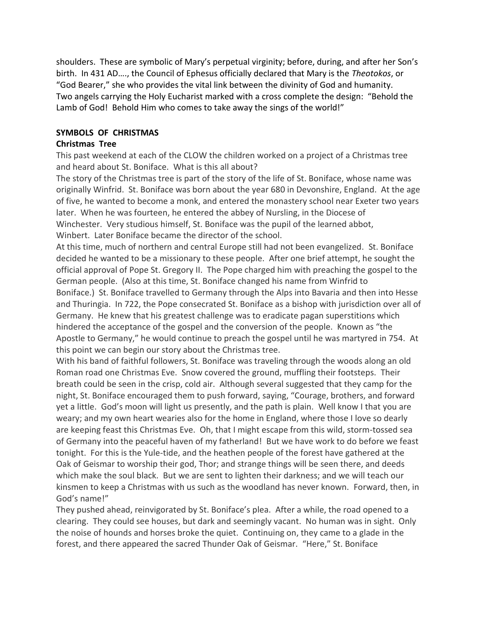shoulders. These are symbolic of Mary's perpetual virginity; before, during, and after her Son's birth. In 431 AD…., the Council of Ephesus officially declared that Mary is the *Theotokos*, or "God Bearer," she who provides the vital link between the divinity of God and humanity. Two angels carrying the Holy Eucharist marked with a cross complete the design: "Behold the Lamb of God! Behold Him who comes to take away the sings of the world!"

# **SYMBOLS OF CHRISTMAS**

#### **Christmas Tree**

This past weekend at each of the CLOW the children worked on a project of a Christmas tree and heard about St. Boniface. What is this all about?

The story of the Christmas tree is part of the story of the life of St. Boniface, whose name was originally Winfrid. St. Boniface was born about the year 680 in Devonshire, England. At the age of five, he wanted to become a monk, and entered the monastery school near Exeter two years later. When he was fourteen, he entered the abbey of Nursling, in the Diocese of Winchester. Very studious himself, St. Boniface was the pupil of the learned abbot, Winbert. Later Boniface became the director of the school.

At this time, much of northern and central Europe still had not been evangelized. St. Boniface decided he wanted to be a missionary to these people. After one brief attempt, he sought the official approval of Pope St. Gregory II. The Pope charged him with preaching the gospel to the German people. (Also at this time, St. Boniface changed his name from Winfrid to Boniface.) St. Boniface travelled to Germany through the Alps into Bavaria and then into Hesse and Thuringia. In 722, the Pope consecrated St. Boniface as a bishop with jurisdiction over all of Germany. He knew that his greatest challenge was to eradicate pagan superstitions which hindered the acceptance of the gospel and the conversion of the people. Known as "the Apostle to Germany," he would continue to preach the gospel until he was martyred in 754. At this point we can begin our story about the Christmas tree.

With his band of faithful followers, St. Boniface was traveling through the woods along an old Roman road one Christmas Eve. Snow covered the ground, muffling their footsteps. Their breath could be seen in the crisp, cold air. Although several suggested that they camp for the night, St. Boniface encouraged them to push forward, saying, "Courage, brothers, and forward yet a little. God's moon will light us presently, and the path is plain. Well know I that you are weary; and my own heart wearies also for the home in England, where those I love so dearly are keeping feast this Christmas Eve. Oh, that I might escape from this wild, storm-tossed sea of Germany into the peaceful haven of my fatherland! But we have work to do before we feast tonight. For this is the Yule-tide, and the heathen people of the forest have gathered at the Oak of Geismar to worship their god, Thor; and strange things will be seen there, and deeds which make the soul black. But we are sent to lighten their darkness; and we will teach our kinsmen to keep a Christmas with us such as the woodland has never known. Forward, then, in God's name!"

They pushed ahead, reinvigorated by St. Boniface's plea. After a while, the road opened to a clearing. They could see houses, but dark and seemingly vacant. No human was in sight. Only the noise of hounds and horses broke the quiet. Continuing on, they came to a glade in the forest, and there appeared the sacred Thunder Oak of Geismar. "Here," St. Boniface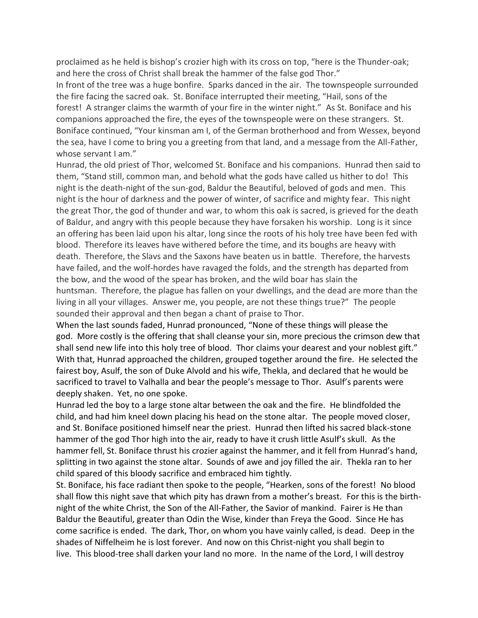proclaimed as he held is bishop's crozier high with its cross on top, "here is the Thunder-oak; and here the cross of Christ shall break the hammer of the false god Thor."

In front of the tree was a huge bonfire. Sparks danced in the air. The townspeople surrounded the fire facing the sacred oak. St. Boniface interrupted their meeting, "Hail, sons of the forest! A stranger claims the warmth of your fire in the winter night." As St. Boniface and his companions approached the fire, the eyes of the townspeople were on these strangers. St. Boniface continued, "Your kinsman am I, of the German brotherhood and from Wessex, beyond the sea, have I come to bring you a greeting from that land, and a message from the All-Father, whose servant I am."

Hunrad, the old priest of Thor, welcomed St. Boniface and his companions. Hunrad then said to them, "Stand still, common man, and behold what the gods have called us hither to do! This night is the death-night of the sun-god, Baldur the Beautiful, beloved of gods and men. This night is the hour of darkness and the power of winter, of sacrifice and mighty fear. This night the great Thor, the god of thunder and war, to whom this oak is sacred, is grieved for the death of Baldur, and angry with this people because they have forsaken his worship. Long is it since an offering has been laid upon his altar, long since the roots of his holy tree have been fed with blood. Therefore its leaves have withered before the time, and its boughs are heavy with death. Therefore, the Slavs and the Saxons have beaten us in battle. Therefore, the harvests have failed, and the wolf-hordes have ravaged the folds, and the strength has departed from the bow, and the wood of the spear has broken, and the wild boar has slain the huntsman. Therefore, the plague has fallen on your dwellings, and the dead are more than the living in all your villages. Answer me, you people, are not these things true?" The people sounded their approval and then began a chant of praise to Thor.

When the last sounds faded, Hunrad pronounced, "None of these things will please the god. More costly is the offering that shall cleanse your sin, more precious the crimson dew that shall send new life into this holy tree of blood. Thor claims your dearest and your noblest gift." With that, Hunrad approached the children, grouped together around the fire. He selected the fairest boy, Asulf, the son of Duke Alvold and his wife, Thekla, and declared that he would be sacrificed to travel to Valhalla and bear the people's message to Thor. Asulf's parents were deeply shaken. Yet, no one spoke.

Hunrad led the boy to a large stone altar between the oak and the fire. He blindfolded the child, and had him kneel down placing his head on the stone altar. The people moved closer, and St. Boniface positioned himself near the priest. Hunrad then lifted his sacred black-stone hammer of the god Thor high into the air, ready to have it crush little Asulf's skull. As the hammer fell, St. Boniface thrust his crozier against the hammer, and it fell from Hunrad's hand, splitting in two against the stone altar. Sounds of awe and joy filled the air. Thekla ran to her child spared of this bloody sacrifice and embraced him tightly.

St. Boniface, his face radiant then spoke to the people, "Hearken, sons of the forest! No blood shall flow this night save that which pity has drawn from a mother's breast. For this is the birthnight of the white Christ, the Son of the All-Father, the Savior of mankind. Fairer is He than Baldur the Beautiful, greater than Odin the Wise, kinder than Freya the Good. Since He has come sacrifice is ended. The dark, Thor, on whom you have vainly called, is dead. Deep in the shades of Niffelheim he is lost forever. And now on this Christ-night you shall begin to live. This blood-tree shall darken your land no more. In the name of the Lord, I will destroy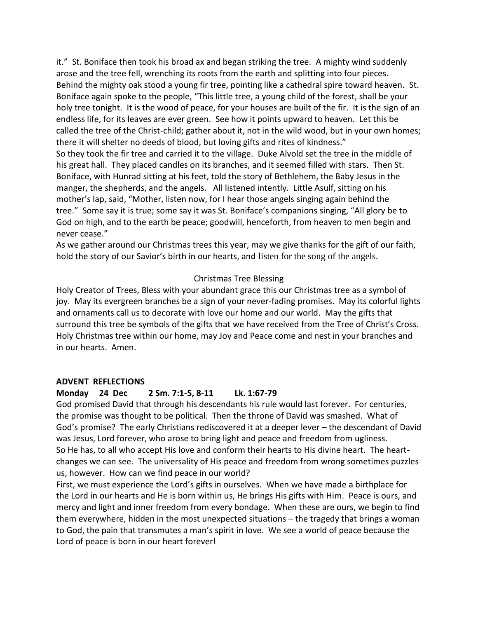it." St. Boniface then took his broad ax and began striking the tree. A mighty wind suddenly arose and the tree fell, wrenching its roots from the earth and splitting into four pieces. Behind the mighty oak stood a young fir tree, pointing like a cathedral spire toward heaven. St. Boniface again spoke to the people, "This little tree, a young child of the forest, shall be your holy tree tonight. It is the wood of peace, for your houses are built of the fir. It is the sign of an endless life, for its leaves are ever green. See how it points upward to heaven. Let this be called the tree of the Christ-child; gather about it, not in the wild wood, but in your own homes; there it will shelter no deeds of blood, but loving gifts and rites of kindness."

So they took the fir tree and carried it to the village. Duke Alvold set the tree in the middle of his great hall. They placed candles on its branches, and it seemed filled with stars. Then St. Boniface, with Hunrad sitting at his feet, told the story of Bethlehem, the Baby Jesus in the manger, the shepherds, and the angels. All listened intently. Little Asulf, sitting on his mother's lap, said, "Mother, listen now, for I hear those angels singing again behind the tree." Some say it is true; some say it was St. Boniface's companions singing, "All glory be to God on high, and to the earth be peace; goodwill, henceforth, from heaven to men begin and never cease."

As we gather around our Christmas trees this year, may we give thanks for the gift of our faith, hold the story of our Savior's birth in our hearts, and listen for the song of the angels.

# Christmas Tree Blessing

Holy Creator of Trees, Bless with your abundant grace this our Christmas tree as a symbol of joy. May its evergreen branches be a sign of your never-fading promises. May its colorful lights and ornaments call us to decorate with love our home and our world. May the gifts that surround this tree be symbols of the gifts that we have received from the Tree of Christ's Cross. Holy Christmas tree within our home, may Joy and Peace come and nest in your branches and in our hearts. Amen.

#### **ADVENT REFLECTIONS**

#### **Monday 24 Dec 2 Sm. 7:1-5, 8-11 Lk. 1:67-79**

God promised David that through his descendants his rule would last forever. For centuries, the promise was thought to be political. Then the throne of David was smashed. What of God's promise? The early Christians rediscovered it at a deeper lever – the descendant of David was Jesus, Lord forever, who arose to bring light and peace and freedom from ugliness. So He has, to all who accept His love and conform their hearts to His divine heart. The heartchanges we can see. The universality of His peace and freedom from wrong sometimes puzzles us, however. How can we find peace in our world?

First, we must experience the Lord's gifts in ourselves. When we have made a birthplace for the Lord in our hearts and He is born within us, He brings His gifts with Him. Peace is ours, and mercy and light and inner freedom from every bondage. When these are ours, we begin to find them everywhere, hidden in the most unexpected situations – the tragedy that brings a woman to God, the pain that transmutes a man's spirit in love. We see a world of peace because the Lord of peace is born in our heart forever!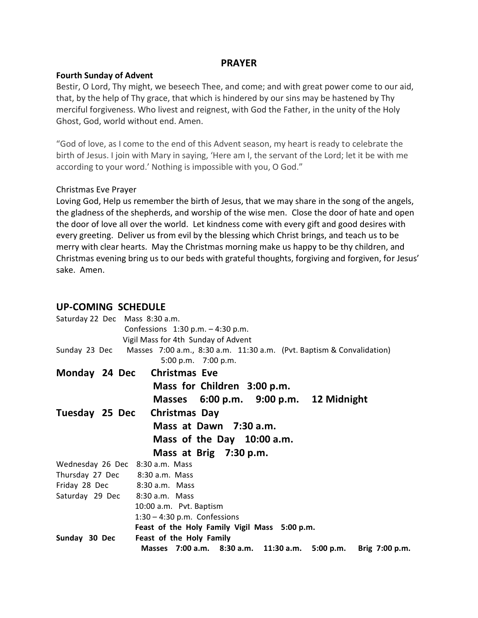#### **PRAYER**

#### **Fourth Sunday of Advent**

Bestir, O Lord, Thy might, we beseech Thee, and come; and with great power come to our aid, that, by the help of Thy grace, that which is hindered by our sins may be hastened by Thy merciful forgiveness. Who livest and reignest, with God the Father, in the unity of the Holy Ghost, God, world without end. Amen.

"God of love, as I come to the end of this Advent season, my heart is ready to celebrate the birth of Jesus. I join with Mary in saying, 'Here am I, the servant of the Lord; let it be with me according to your word.' Nothing is impossible with you, O God."

#### Christmas Eve Prayer

Loving God, Help us remember the birth of Jesus, that we may share in the song of the angels, the gladness of the shepherds, and worship of the wise men. Close the door of hate and open the door of love all over the world. Let kindness come with every gift and good desires with every greeting. Deliver us from evil by the blessing which Christ brings, and teach us to be merry with clear hearts. May the Christmas morning make us happy to be thy children, and Christmas evening bring us to our beds with grateful thoughts, forgiving and forgiven, for Jesus' sake. Amen.

# **UP-COMING SCHEDULE**

| Saturday 22 Dec Mass 8:30 a.m.  |                                                                       |  |  |  |  |  |  |
|---------------------------------|-----------------------------------------------------------------------|--|--|--|--|--|--|
|                                 | Confessions $1:30$ p.m. $-4:30$ p.m.                                  |  |  |  |  |  |  |
|                                 | Vigil Mass for 4th Sunday of Advent                                   |  |  |  |  |  |  |
| Sunday 23 Dec                   | Masses 7:00 a.m., 8:30 a.m. 11:30 a.m. (Pvt. Baptism & Convalidation) |  |  |  |  |  |  |
|                                 | 5:00 p.m. $7:00$ p.m.                                                 |  |  |  |  |  |  |
| Monday 24 Dec                   | <b>Christmas Eve</b>                                                  |  |  |  |  |  |  |
|                                 | Mass for Children 3:00 p.m.                                           |  |  |  |  |  |  |
|                                 | Masses 6:00 p.m. 9:00 p.m. 12 Midnight                                |  |  |  |  |  |  |
| Tuesday 25 Dec                  | <b>Christmas Day</b>                                                  |  |  |  |  |  |  |
|                                 | Mass at Dawn 7:30 a.m.                                                |  |  |  |  |  |  |
|                                 | Mass of the Day 10:00 a.m.                                            |  |  |  |  |  |  |
|                                 | Mass at Brig 7:30 p.m.                                                |  |  |  |  |  |  |
| Wednesday 26 Dec 8:30 a.m. Mass |                                                                       |  |  |  |  |  |  |
| Thursday 27 Dec 8:30 a.m. Mass  |                                                                       |  |  |  |  |  |  |
| Friday 28 Dec 8:30 a.m. Mass    |                                                                       |  |  |  |  |  |  |
| Saturday 29 Dec 8:30 a.m. Mass  |                                                                       |  |  |  |  |  |  |
|                                 | 10:00 a.m. Pvt. Baptism                                               |  |  |  |  |  |  |
|                                 | $1:30 - 4:30$ p.m. Confessions                                        |  |  |  |  |  |  |
|                                 | Feast of the Holy Family Vigil Mass 5:00 p.m.                         |  |  |  |  |  |  |
| Sunday 30 Dec                   | Feast of the Holy Family                                              |  |  |  |  |  |  |
|                                 | Masses 7:00 a.m. 8:30 a.m. 11:30 a.m. 5:00 p.m.<br>Brig 7:00 p.m.     |  |  |  |  |  |  |